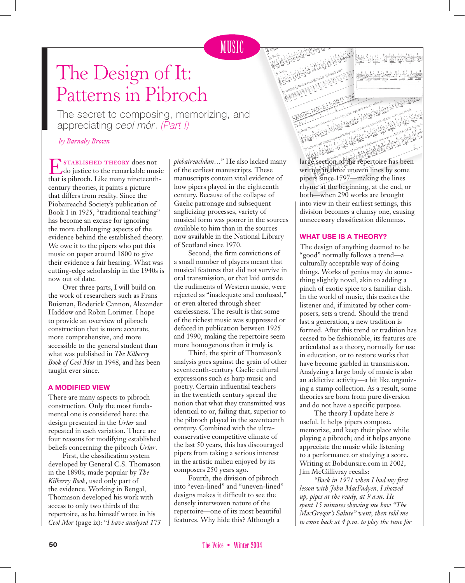## MUSIC

# The Design of It: Patterns in Pibroch

The secret to composing, memorizing, and appreciating *ceol mór*. *(Part I)*

*by Barnaby Brown*

**EXTABLISHED THEORY does not**<br>do justice to the remarkable music that is pibroch. Like many nineteenthcentury theories, it paints a picture that differs from reality. Since the Piobaireachd Society's publication of Book 1 in 1925, "traditional teaching" has become an excuse for ignoring the more challenging aspects of the evidence behind the established theory. We owe it to the pipers who put this music on paper around 1800 to give their evidence a fair hearing. What was cutting-edge scholarship in the 1940s is now out of date.

Over three parts, I will build on the work of researchers such as Frans Buisman, Roderick Cannon, Alexander Haddow and Robin Lorimer. I hope to provide an overview of pibroch construction that is more accurate, more comprehensive, and more accessible to the general student than what was published in *The Kilberry Book of Ceol Mor* in 1948, and has been taught ever since.

#### **A MODIFIED VIEW**

There are many aspects to pibroch construction. Only the most fundamental one is considered here: the design presented in the *Ùrlar* and repeated in each variation. There are four reasons for modifying established beliefs concerning the pibroch *Ùrlar*.

First, the classification system developed by General C.S. Thomason in the 1890s, made popular by *The Kilberry Book*, used only part of the evidence. Working in Bengal, Thomason developed his work with access to only two thirds of the repertoire, as he himself wrote in his *Ceol Mor* (page ix): "*I have analysed 173*  *piobaireachdan…*" He also lacked many of the earliest manuscripts. These manuscripts contain vital evidence of how pipers played in the eighteenth century. Because of the collapse of Gaelic patronage and subsequent anglicizing processes, variety of musical form was poorer in the sources available to him than in the sources now available in the National Library of Scotland since 1970.

Second, the firm convictions of a small number of players meant that musical features that did not survive in oral transmission, or that laid outside the rudiments of Western music, were rejected as "inadequate and confused," or even altered through sheer carelessness. The result is that some of the richest music was suppressed or defaced in publication between 1925 and 1990, making the repertoire seem more homogenous than it truly is.

Third, the spirit of Thomason's analysis goes against the grain of other seventeenth-century Gaelic cultural expressions such as harp music and poetry. Certain influential teachers in the twentieth century spread the notion that what they transmitted was identical to or, failing that, superior to the pibroch played in the seventeenth century. Combined with the ultraconservative competitive climate of the last 50 years, this has discouraged pipers from taking a serious interest in the artistic milieu enjoyed by its composers 250 years ago.

Fourth, the division of pibroch into "even-lined" and "uneven-lined" designs makes it difficult to see the densely interwoven nature of the repertoire—one of its most beautiful features. Why hide this? Although a

large section of the repertoire has been written in three uneven lines by some pipers since 1797—making the lines rhyme at the beginning, at the end, or both—when 290 works are brought into view in their earliest settings, this division becomes a clumsy one, causing unnecessary classification dilemmas.

#### **WHAT USE IS A THEORY?**

The design of anything deemed to be "good" normally follows a trend—a culturally acceptable way of doing things. Works of genius may do something slightly novel, akin to adding a pinch of exotic spice to a familiar dish. In the world of music, this excites the listener and, if imitated by other composers, sets a trend. Should the trend last a generation, a new tradition is formed. After this trend or tradition has ceased to be fashionable, its features are articulated as a theory, normally for use in education, or to restore works that have become garbled in transmission. Analyzing a large body of music is also an addictive activity—a bit like organizing a stamp collection. As a result, some theories are born from pure diversion and do not have a specific purpose.

The theory I update here *is* useful. It helps pipers compose, memorize, and keep their place while playing a pibroch; and it helps anyone appreciate the music while listening to a performance or studying a score. Writing at Bobdunsire.com in 2002, Jim McGillivray recalls:

*"Back in 1971 when I had my first lesson with John MacFadyen, I showed up, pipes at the ready, at 9 a.m. He spent 15 minutes showing me how "The MacGregor's Salute" went, then told me to come back at 4 p.m. to play the tune for*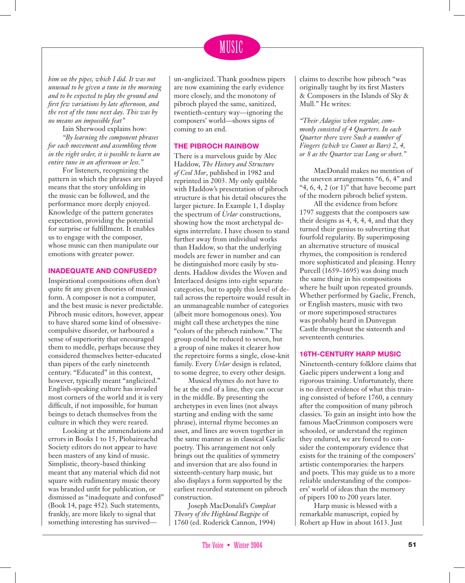## MUSIC

*him on the pipes, which I did. It was not unusual to be given a tune in the morning and to be expected to play the ground and first few variations by late afternoon, and the rest of the tune next day. This was by no means an impossible feat"*

Iain Sherwood explains how:

*"By learning the component phrases for each movement and assembling them in the right order, it is possible to learn an entire tune in an afternoon or less."*

For listeners, recognizing the pattern in which the phrases are played means that the story unfolding in the music can be followed, and the performance more deeply enjoyed. Knowledge of the pattern generates expectation, providing the potential for surprise or fulfillment. It enables us to engage with the composer, whose music can then manipulate our emotions with greater power.

#### **INADEQUATE AND CONFUSED?**

Inspirational compositions often don't quite fit any given theories of musical form. A composer is not a computer, and the best music is never predictable. Pibroch music editors, however, appear to have shared some kind of obsessivecompulsive disorder, or harboured a sense of superiority that encouraged them to meddle, perhaps because they considered themselves better-educated than pipers of the early nineteenth century. "Educated" in this context, however, typically meant "anglicized." English-speaking culture has invaded most corners of the world and it is very difficult, if not impossible, for human beings to detach themselves from the culture in which they were reared.

Looking at the ammendations and errors in Books 1 to 15, Piobaireachd Society editors do not appear to have been masters of any kind of music. Simplistic, theory-based thinking meant that any material which did not square with rudimentary music theory was branded unfit for publication, or dismissed as "inadequate and confused" (Book 14, page 452). Such statements, frankly, are more likely to signal that something interesting has survivedun-anglicized. Thank goodness pipers are now examining the early evidence more closely, and the monotony of pibroch played the same, sanitized, twentieth-century way—ignoring the composers' world—shows signs of coming to an end.

#### **THE PIBROCH RAINBOW**

There is a marvelous guide by Alec Haddow, *The History and Structure of Ceol Mor*, published in 1982 and reprinted in 2003. My only quibble with Haddow's presentation of pibroch structure is that his detail obscures the larger picture. In Example 1, I display the spectrum of *Ùrlar* constructions, showing how the most archetypal designs interrelate. I have chosen to stand further away from individual works than Haddow, so that the underlying models are fewer in number and can be distinguished more easily by students. Haddow divides the Woven and Interlaced designs into eight separate categories, but to apply this level of detail across the repertoire would result in an unmanageable number of categories (albeit more homogenous ones). You might call these archetypes the nine "colors of the pibroch rainbow." The group could be reduced to seven, but a group of nine makes it clearer how the repretoire forms a single, close-knit family. Every *Ùrlar* design is related, to some degree, to every other design.

Musical rhymes do not have to be at the end of a line, they can occur in the middle. By presenting the archetypes in even lines (not always starting and ending with the same phrase), internal rhyme becomes an asset, and lines are woven together in the same manner as in classical Gaelic poetry. This arrangement not only brings out the qualities of symmetry and inversion that are also found in sixteenth-century harp music, but also displays a form supported by the earliest recorded statement on pibroch construction.

Joseph MacDonald's *Compleat Theory of the Highland Bagpipe* of 1760 (ed. Roderick Cannon, 1994)

claims to describe how pibroch "was originally taught by its first Masters & Composers in the Islands of Sky & Mull." He writes:

*"Their Adagios when regular, commonly consisted of 4 Quarters. In each Quarter there were Such a number of Fingers (which we Count as Bars) 2, 4, or 8 as the Quarter was Long or short."*

MacDonald makes no mention of the uneven arrangements "6, 6, 4" and " $4, 6, 4, 2$  (or  $1$ )" that have become part of the modern pibroch belief system.

All the evidence from before 1797 suggests that the composers saw their designs as 4, 4, 4, 4, and that they turned their genius to subverting that fourfold regularity. By superimposing an alternative structure of musical rhymes, the composition is rendered more sophisticated and pleasing. Henry Purcell (1659–1695) was doing much the same thing in his compositions where he built upon repeated grounds. Whether performed by Gaelic, French, or English masters, music with two or more superimposed structures was probably heard in Dunvegan Castle throughout the sixteenth and seventeenth centuries.

#### **16TH-CENTURY HARP MUSIC**

Nineteenth-century folklore claims that Gaelic pipers underwent a long and rigorous training. Unfortunately, there is no direct evidence of what this training consisted of before 1760, a century after the composition of many pibroch classics. To gain an insight into how the famous MacCrimmon composers were schooled, or understand the regimen they endured, we are forced to consider the contemporary evidence that exists for the training of the composers' artistic contemporaries: the harpers and poets. This may guide us to a more reliable understanding of the composers' world of ideas than the memory of pipers 100 to 200 years later.

Harp music is blessed with a remarkable manuscript, copied by Robert ap Huw in about 1613. Just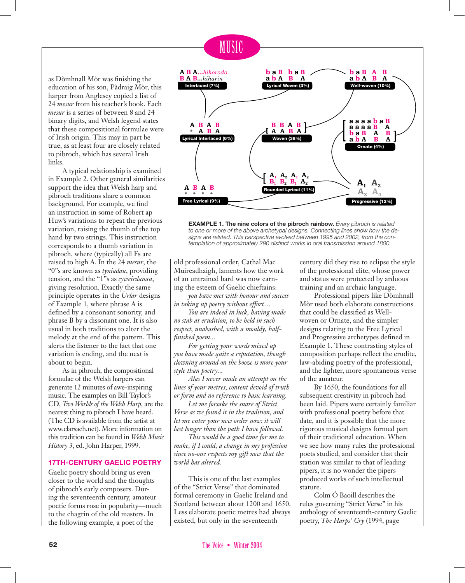### MUSIC

as Dòmhnall Mòr was finishing the education of his son, Pàdraig Mòr, this harper from Anglesey copied a list of 24 mesur from his teacher's book. Each mesur is a series of between 8 and 24 binary digits, and Welsh legend states that these compositional formulae were of Irish origin. This may in part be true, as at least four are closely related to pibroch, which has several Irish links.

A typical relationship is examined in Example 2. Other general similarities support the idea that Welsh harp and pibroch traditions share a common background. For example, we find an instruction in some of Robert ap Huw's variations to repeat the previous variation, raising the thumb of the top hand by two strings. This instruction corresponds to a thumb variation in pibroch, where (typically) all Fs are raised to high A. In the 24 mesur, the "0"s are known as tyniadau, providing tension, and the "1"s as cyweirdanau, giving resolution. Exactly the same principle operates in the *Urlar* designs of Example 1, where phrase A is defined by a consonant sonority, and phrase B by a dissonant one. It is also usual in both traditions to alter the melody at the end of the pattern. This alerts the listener to the fact that one variation is ending, and the next is about to begin.

As in pibroch, the compositional formulae of the Welsh harpers can generate 12 minutes of awe-inspiring music. The examples on Bill Taylor's CD, Two Worlds of the Welsh Harp, are the nearest thing to pibroch I have heard. (The CD is available from the artist at www.clarsach.net). More information on this tradition can be found in Welsh Music History 3, ed. John Harper, 1999.

#### **17TH-CENTURY GAELIC POETRY**

Gaelic poetry should bring us even closer to the world and the thoughts of pibroch's early composers. During the seventeenth century, amateur poetic forms rose in popularity-much to the chagrin of the old masters. In the following example, a poet of the



**EXAMPLE 1. The nine colors of the pibroch rainbow.** Every pibroch is related to one or more of the above archetypal designs. Connecting lines show how the designs are related. This perspective evolved between 1995 and 2002, from the contemplation of approximately 290 distinct works in oral transmission around 1800.

old professional order, Cathal Mac Muireadhaigh, laments how the work of an untrained bard was now earning the esteem of Gaelic chieftains:

you have met with honour and success in taking up poetry without effort...

You are indeed in luck, having made no stab at erudition, to be held in such respect, unabashed, with a mouldy, halffinished poem...

For getting your words mixed up you have made quite a reputation, though clowning around on the booze is more your style than poetry...

Alas I never made an attempt on the lines of your metres, content devoid of truth or form and no reference to basic learning.

Let me forsake the snare of Strict Verse as we found it in the tradition, and let me enter your new order now: it will last longer than the path I have followed.

This would be a good time for me to make, if I could, a change in my profession since no-one respects my gift now that the world has altered.

This is one of the last examples of the "Strict Verse" that dominated formal ceremony in Gaelic Ireland and Scotland between about 1200 and 1650. Less elaborate poetic metres had always existed, but only in the seventeenth

century did they rise to eclipse the style of the professional elite, whose power and status were protected by arduous training and an archaic language.

Professional pipers like Dòmhnall Mòr used both elaborate constructions that could be classified as Wellwoven or Ornate, and the simpler designs relating to the Free Lyrical and Progressive archetypes defined in Example 1. These contrasting styles of composition perhaps reflect the erudite, law-abiding poetry of the professional, and the lighter, more spontaneous verse of the amateur.

By 1650, the foundations for all subsequent creativity in pibroch had been laid. Pipers were certainly familiar with professional poetry before that date, and it is possible that the more rigorous musical designs formed part of their traditional education. When we see how many rules the professional poets studied, and consider that their station was similar to that of leading pipers, it is no wonder the pipers produced works of such intellectual stature

Colm O Baoill describes the rules governing "Strict Verse" in his anthology of seventeenth-century Gaelic poetry, The Harps' Cry (1994, page